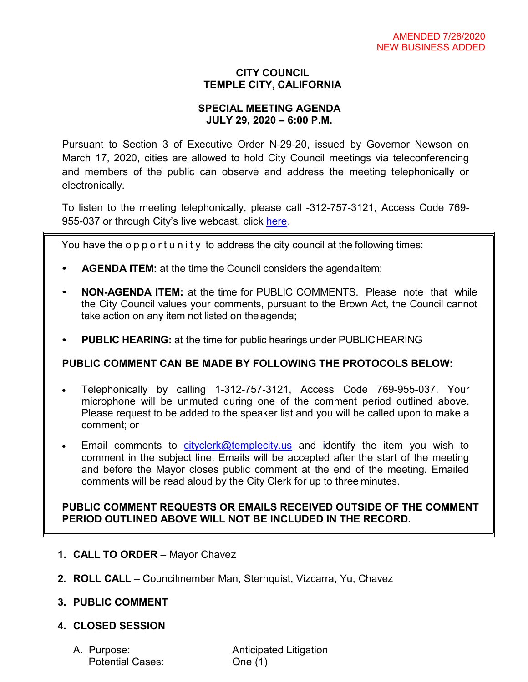# **CITY COUNCIL TEMPLE CITY, CALIFORNIA**

#### **SPECIAL MEETING AGENDA JULY 29, 2020 – 6:00 P.M.**

Pursuant to Section 3 of Executive Order N-29-20, issued by Governor Newson on March 17, 2020, cities are allowed to hold City Council meetings via teleconferencing and members of the public can observe and address the meeting telephonically or electronically.

To listen to the meeting telephonically, please call -312-757-3121, Access Code 769 955-037 or through City's live webcast, click [here.](https://www.ci.temple-city.ca.us/516/Meeting-Webcast)

You have the opportunity to address the city council at the following times:

- **AGENDA ITEM:** at the time the Council considers the agendaitem;
- **NON-AGENDA ITEM:** at the time for PUBLIC COMMENTS. Please note that while the City Council values your comments, pursuant to the Brown Act, the Council cannot take action on any item not listed on theagenda;
- **PUBLIC HEARING:** at the time for public hearings under PUBLICHEARING

# **PUBLIC COMMENT CAN BE MADE BY FOLLOWING THE PROTOCOLS BELOW:**

- Telephonically by calling 1-312-757-3121, Access Code 769-955-037. Your microphone will be unmuted during one of the comment period outlined above. Please request to be added to the speaker list and you will be called upon to make a comment; or
- Email comments to [cityclerk@templecity.us](mailto:cityclerk@templecity.us) and identify the item you wish to comment in the subject line. Emails will be accepted after the start of the meeting and before the Mayor closes public comment at the end of the meeting. Emailed comments will be read aloud by the City Clerk for up to three minutes.

### **PUBLIC COMMENT REQUESTS OR EMAILS RECEIVED OUTSIDE OF THE COMMENT PERIOD OUTLINED ABOVE WILL NOT BE INCLUDED IN THE RECORD.**

- **1. CALL TO ORDER**  Mayor Chavez
- **2. ROLL CALL**  Councilmember Man, Sternquist, Vizcarra, Yu, Chavez
- **3. PUBLIC COMMENT**

# **4. CLOSED SESSION**

Potential Cases: One (1)

A. Purpose: **Anticipated Litigation**